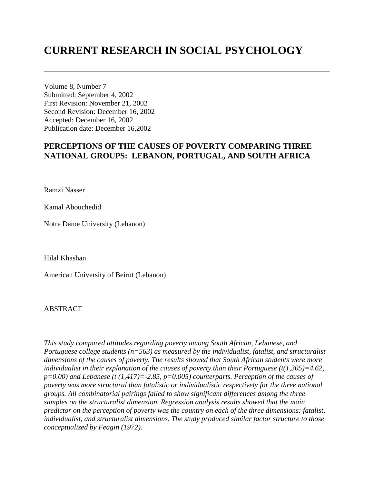# **CURRENT RESEARCH IN SOCIAL PSYCHOLOGY**

Volume 8, Number 7 Submitted: September 4, 2002 First Revision: November 21, 2002 Second Revision: December 16, 2002 Accepted: December 16, 2002 Publication date: December 16,2002

## **PERCEPTIONS OF THE CAUSES OF POVERTY COMPARING THREE NATIONAL GROUPS: LEBANON, PORTUGAL, AND SOUTH AFRICA**

Ramzi Nasser

Kamal Abouchedid

Notre Dame University (Lebanon)

Hilal Khashan

American University of Beirut (Lebanon)

## ABSTRACT

*This study compared attitudes regarding poverty among South African, Lebanese, and Portuguese college students (n=563) as measured by the individualist, fatalist, and structuralist dimensions of the causes of poverty. The results showed that South African students were more individualist in their explanation of the causes of poverty than their Portuguese (t(1,305)=4.62, p=0.00) and Lebanese (t (1,417)=-2.85, p=0.005) counterparts. Perception of the causes of poverty was more structural than fatalistic or individualistic respectively for the three national groups. All combinatorial pairings failed to show significant differences among the three samples on the structuralist dimension. Regression analysis results showed that the main predictor on the perception of poverty was the country on each of the three dimensions: fatalist, individualist, and structuralist dimensions. The study produced similar factor structure to those conceptualized by Feagin (1972).*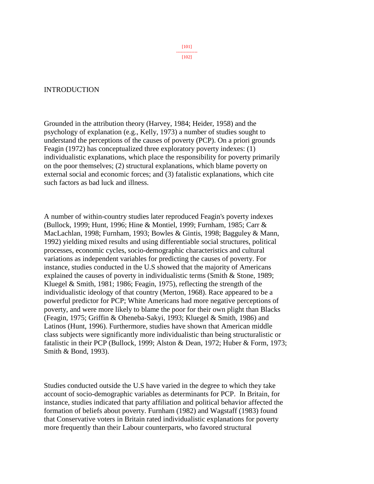## INTRODUCTION

Grounded in the attribution theory (Harvey, 1984; Heider, 1958) and the psychology of explanation (e.g., Kelly, 1973) a number of studies sought to understand the perceptions of the causes of poverty (PCP). On a priori grounds Feagin (1972) has conceptualized three exploratory poverty indexes: (1) individualistic explanations, which place the responsibility for poverty primarily on the poor themselves; (2) structural explanations, which blame poverty on external social and economic forces; and (3) fatalistic explanations, which cite such factors as bad luck and illness.

A number of within-country studies later reproduced Feagin's poverty indexes (Bullock, 1999; Hunt, 1996; Hine & Montiel, 1999; Furnham, 1985; Carr & MacLachlan, 1998; Furnham, 1993; Bowles & Gintis, 1998; Bagguley & Mann, 1992) yielding mixed results and using differentiable social structures, political processes, economic cycles, socio-demographic characteristics and cultural variations as independent variables for predicting the causes of poverty. For instance, studies conducted in the U.S showed that the majority of Americans explained the causes of poverty in individualistic terms (Smith & Stone, 1989; Kluegel & Smith, 1981; 1986; Feagin, 1975), reflecting the strength of the individualistic ideology of that country (Merton, 1968). Race appeared to be a powerful predictor for PCP; White Americans had more negative perceptions of poverty, and were more likely to blame the poor for their own plight than Blacks (Feagin, 1975; Griffin & Oheneba-Sakyi, 1993; Kluegel & Smith, 1986) and Latinos (Hunt, 1996). Furthermore, studies have shown that American middle class subjects were significantly more individualistic than being structuralistic or fatalistic in their PCP (Bullock, 1999; Alston & Dean, 1972; Huber & Form, 1973; Smith & Bond, 1993).

Studies conducted outside the U.S have varied in the degree to which they take account of socio-demographic variables as determinants for PCP. In Britain, for instance, studies indicated that party affiliation and political behavior affected the formation of beliefs about poverty. Furnham (1982) and Wagstaff (1983) found that Conservative voters in Britain rated individualistic explanations for poverty more frequently than their Labour counterparts, who favored structural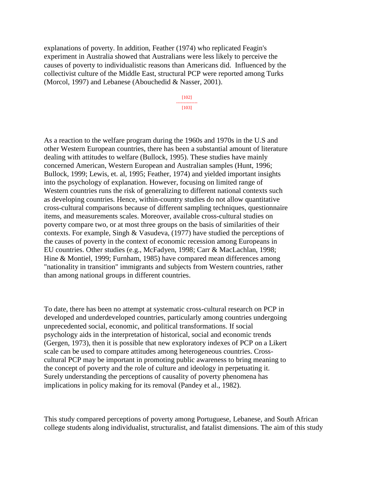explanations of poverty. In addition, Feather (1974) who replicated Feagin's experiment in Australia showed that Australians were less likely to perceive the causes of poverty to individualistic reasons than Americans did. Influenced by the collectivist culture of the Middle East, structural PCP were reported among Turks (Morcol, 1997) and Lebanese (Abouchedid & Nasser, 2001).

> [102] -------------- [103]

As a reaction to the welfare program during the 1960s and 1970s in the U.S and other Western European countries, there has been a substantial amount of literature dealing with attitudes to welfare (Bullock, 1995). These studies have mainly concerned American, Western European and Australian samples (Hunt, 1996; Bullock, 1999; Lewis, et. al, 1995; Feather, 1974) and yielded important insights into the psychology of explanation. However, focusing on limited range of Western countries runs the risk of generalizing to different national contexts such as developing countries. Hence, within-country studies do not allow quantitative cross-cultural comparisons because of different sampling techniques, questionnaire items, and measurements scales. Moreover, available cross-cultural studies on poverty compare two, or at most three groups on the basis of similarities of their contexts. For example, Singh & Vasudeva, (1977) have studied the perceptions of the causes of poverty in the context of economic recession among Europeans in EU countries. Other studies (e.g., McFadyen, 1998; Carr & MacLachlan, 1998; Hine & Montiel, 1999; Furnham, 1985) have compared mean differences among "nationality in transition" immigrants and subjects from Western countries, rather than among national groups in different countries.

To date, there has been no attempt at systematic cross-cultural research on PCP in developed and underdeveloped countries, particularly among countries undergoing unprecedented social, economic, and political transformations. If social psychology aids in the interpretation of historical, social and economic trends (Gergen, 1973), then it is possible that new exploratory indexes of PCP on a Likert scale can be used to compare attitudes among heterogeneous countries. Crosscultural PCP may be important in promoting public awareness to bring meaning to the concept of poverty and the role of culture and ideology in perpetuating it. Surely understanding the perceptions of causality of poverty phenomena has implications in policy making for its removal (Pandey et al., 1982).

This study compared perceptions of poverty among Portuguese, Lebanese, and South African college students along individualist, structuralist, and fatalist dimensions. The aim of this study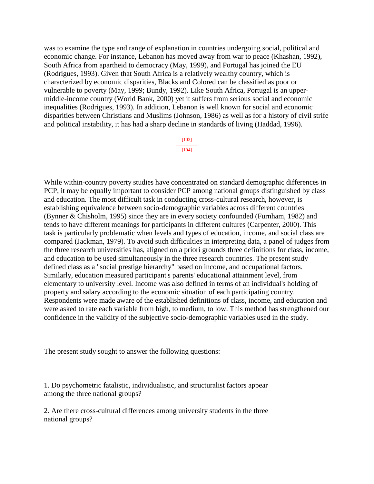was to examine the type and range of explanation in countries undergoing social, political and economic change. For instance, Lebanon has moved away from war to peace (Khashan, 1992), South Africa from apartheid to democracy (May, 1999), and Portugal has joined the EU (Rodrigues, 1993). Given that South Africa is a relatively wealthy country, which is characterized by economic disparities, Blacks and Colored can be classified as poor or vulnerable to poverty (May, 1999; Bundy, 1992). Like South Africa, Portugal is an uppermiddle-income country (World Bank, 2000) yet it suffers from serious social and economic inequalities (Rodrigues, 1993). In addition, Lebanon is well known for social and economic disparities between Christians and Muslims (Johnson, 1986) as well as for a history of civil strife and political instability, it has had a sharp decline in standards of living (Haddad, 1996).

> [103] -------------- [104]

While within-country poverty studies have concentrated on standard demographic differences in PCP, it may be equally important to consider PCP among national groups distinguished by class and education. The most difficult task in conducting cross-cultural research, however, is establishing equivalence between socio-demographic variables across different countries (Bynner & Chisholm, 1995) since they are in every society confounded (Furnham, 1982) and tends to have different meanings for participants in different cultures (Carpenter, 2000). This task is particularly problematic when levels and types of education, income, and social class are compared (Jackman, 1979). To avoid such difficulties in interpreting data, a panel of judges from the three research universities has, aligned on a priori grounds three definitions for class, income, and education to be used simultaneously in the three research countries. The present study defined class as a "social prestige hierarchy" based on income, and occupational factors. Similarly, education measured participant's parents' educational attainment level, from elementary to university level. Income was also defined in terms of an individual's holding of property and salary according to the economic situation of each participating country. Respondents were made aware of the established definitions of class, income, and education and were asked to rate each variable from high, to medium, to low. This method has strengthened our confidence in the validity of the subjective socio-demographic variables used in the study.

The present study sought to answer the following questions:

1. Do psychometric fatalistic, individualistic, and structuralist factors appear among the three national groups?

2. Are there cross-cultural differences among university students in the three national groups?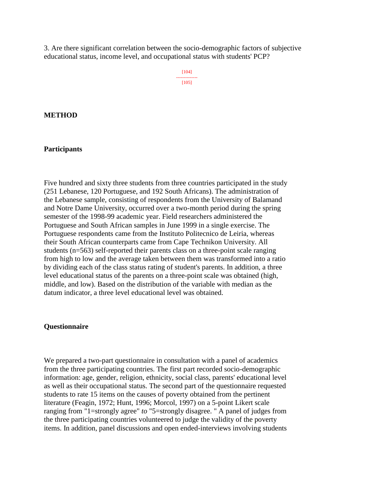3. Are there significant correlation between the socio-demographic factors of subjective educational status, income level, and occupational status with students' PCP?

> [104] -------------- [105]

### **METHOD**

## **Participants**

Five hundred and sixty three students from three countries participated in the study (251 Lebanese, 120 Portuguese, and 192 South Africans). The administration of the Lebanese sample, consisting of respondents from the University of Balamand and Notre Dame University, occurred over a two-month period during the spring semester of the 1998-99 academic year. Field researchers administered the Portuguese and South African samples in June 1999 in a single exercise. The Portuguese respondents came from the Instituto Politecnico de Leiria, whereas their South African counterparts came from Cape Technikon University. All students (n=563) self-reported their parents class on a three-point scale ranging from high to low and the average taken between them was transformed into a ratio by dividing each of the class status rating of student's parents. In addition, a three level educational status of the parents on a three-point scale was obtained (high, middle, and low). Based on the distribution of the variable with median as the datum indicator, a three level educational level was obtained.

## **Questionnaire**

We prepared a two-part questionnaire in consultation with a panel of academics from the three participating countries. The first part recorded socio-demographic information: age, gender, religion, ethnicity, social class, parents' educational level as well as their occupational status. The second part of the questionnaire requested students to rate 15 items on the causes of poverty obtained from the pertinent literature (Feagin, 1972; Hunt, 1996; Morcol, 1997) on a 5-point Likert scale ranging from "1=strongly agree" *to* "5=strongly disagree. " A panel of judges from the three participating countries volunteered to judge the validity of the poverty items. In addition, panel discussions and open ended-interviews involving students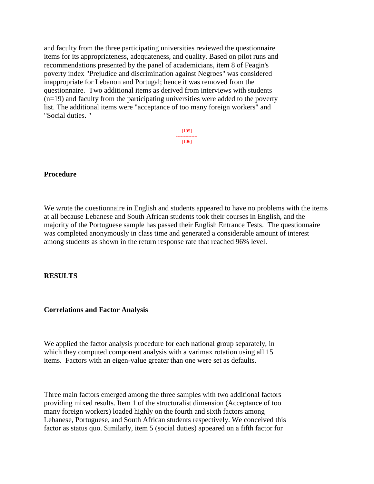and faculty from the three participating universities reviewed the questionnaire items for its appropriateness, adequateness, and quality. Based on pilot runs and recommendations presented by the panel of academicians, item 8 of Feagin's poverty index "Prejudice and discrimination against Negroes" was considered inappropriate for Lebanon and Portugal; hence it was removed from the questionnaire. Two additional items as derived from interviews with students (n=19) and faculty from the participating universities were added to the poverty list. The additional items were "acceptance of too many foreign workers" and "Social duties. "

> [105] -------------- [106]

### **Procedure**

We wrote the questionnaire in English and students appeared to have no problems with the items at all because Lebanese and South African students took their courses in English, and the majority of the Portuguese sample has passed their English Entrance Tests. The questionnaire was completed anonymously in class time and generated a considerable amount of interest among students as shown in the return response rate that reached 96% level.

### **RESULTS**

#### **Correlations and Factor Analysis**

We applied the factor analysis procedure for each national group separately, in which they computed component analysis with a varimax rotation using all 15 items. Factors with an eigen-value greater than one were set as defaults.

Three main factors emerged among the three samples with two additional factors providing mixed results. Item 1 of the structuralist dimension (Acceptance of too many foreign workers) loaded highly on the fourth and sixth factors among Lebanese, Portuguese, and South African students respectively. We conceived this factor as status quo. Similarly, item 5 (social duties) appeared on a fifth factor for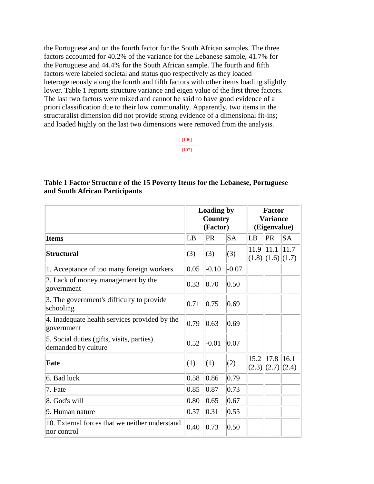the Portuguese and on the fourth factor for the South African samples. The three factors accounted for 40.2% of the variance for the Lebanese sample, 41.7% for the Portuguese and 44.4% for the South African sample. The fourth and fifth factors were labeled societal and status quo respectively as they loaded heterogeneously along the fourth and fifth factors with other items loading slightly lower. Table 1 reports structure variance and eigen value of the first three factors. The last two factors were mixed and cannot be said to have good evidence of a priori classification due to their low communality. Apparently, two items in the structuralist dimension did not provide strong evidence of a dimensional fit-ins; and loaded highly on the last two dimensions were removed from the analysis.

> [106] -------------- [107]

## **Table 1 Factor Structure of the 15 Poverty Items for the Lebanese, Portuguese and South African Participants**

|                                                                  |      | <b>Loading by</b><br><b>Country</b><br>(Factor) |         |      | <b>Factor</b><br><b>Variance</b><br>(Eigenvalue) |      |
|------------------------------------------------------------------|------|-------------------------------------------------|---------|------|--------------------------------------------------|------|
| <b>Items</b>                                                     | LB   | PR                                              | SA      | LB   | PR                                               | SA   |
| <b>Structural</b>                                                | (3)  | (3)                                             | (3)     | 11.9 | 11.1 <br>$(1.8)$ $(1.6)$ $(1.7)$                 | 11.7 |
| 1. Acceptance of too many foreign workers                        | 0.05 | $-0.10$                                         | $-0.07$ |      |                                                  |      |
| 2. Lack of money management by the<br>government                 | 0.33 | 0.70                                            | 0.50    |      |                                                  |      |
| 3. The government's difficulty to provide<br>schooling           | 0.71 | 0.75                                            | 0.69    |      |                                                  |      |
| 4. Inadequate health services provided by the<br>government      | 0.79 | 0.63                                            | 0.69    |      |                                                  |      |
| 5. Social duties (gifts, visits, parties)<br>demanded by culture | 0.52 | $-0.01$                                         | 0.07    |      |                                                  |      |
| Fate                                                             | (1)  | (1)                                             | (2)     | 15.2 | 17.8 <br> (2.3)  (2.7)  (2.4)                    | 16.1 |
| 6. Bad luck                                                      | 0.58 | 0.86                                            | 0.79    |      |                                                  |      |
| 7. Fate                                                          | 0.85 | 0.87                                            | 0.73    |      |                                                  |      |
| 8. God's will                                                    | 0.80 | 0.65                                            | 0.67    |      |                                                  |      |
| 9. Human nature                                                  | 0.57 | 0.31                                            | 0.55    |      |                                                  |      |
| 10. External forces that we neither understand<br>nor control    | 0.40 | 0.73                                            | 0.50    |      |                                                  |      |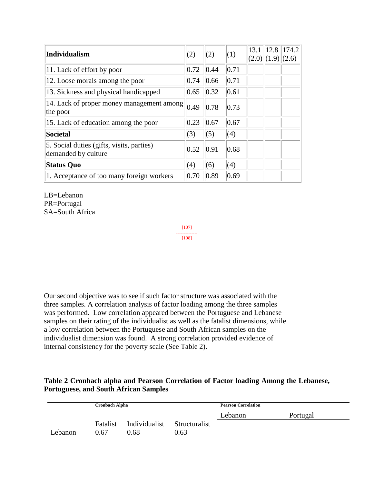| <b>Individualism</b>                                             | (2)            | (2)  | (1)  | 13.1 | $\vert(2.0)\vert(1.9)\vert(2.6)$ | 12.8 174.2 |
|------------------------------------------------------------------|----------------|------|------|------|----------------------------------|------------|
| 11. Lack of effort by poor                                       | 0.72           | 0.44 | 0.71 |      |                                  |            |
| 12. Loose morals among the poor                                  | 0.74           | 0.66 | 0.71 |      |                                  |            |
| 13. Sickness and physical handicapped                            | 0.65           | 0.32 | 0.61 |      |                                  |            |
| 14. Lack of proper money management among<br>the poor            | $ 0.49\rangle$ | 0.78 | 0.73 |      |                                  |            |
| 15. Lack of education among the poor                             | 0.23           | 0.67 | 0.67 |      |                                  |            |
| <b>Societal</b>                                                  | (3)            | (5)  | (4)  |      |                                  |            |
| 5. Social duties (gifts, visits, parties)<br>demanded by culture | 0.52           | 0.91 | 0.68 |      |                                  |            |
| <b>Status Quo</b>                                                | (4)            | (6)  | (4)  |      |                                  |            |
| 1. Acceptance of too many foreign workers                        | 0.70           | 0.89 | 0.69 |      |                                  |            |

LB=Lebanon PR=Portugal SA=South Africa

> [107] -------------- [108]

Our second objective was to see if such factor structure was associated with the three samples. A correlation analysis of factor loading among the three samples was performed. Low correlation appeared between the Portuguese and Lebanese samples on their rating of the individualist as well as the fatalist dimensions, while a low correlation between the Portuguese and South African samples on the individualist dimension was found. A strong correlation provided evidence of internal consistency for the poverty scale (See Table 2).

## **Table 2 Cronbach alpha and Pearson Correlation of Factor loading Among the Lebanese, Portuguese, and South African Samples**

|         | <b>Cronbach Alpha</b> |                             |      | <b>Pearson Correlation</b> |          |  |  |
|---------|-----------------------|-----------------------------|------|----------------------------|----------|--|--|
|         |                       |                             |      | Lebanon                    | Portugal |  |  |
|         | Fatalist              | Individualist Structuralist |      |                            |          |  |  |
| Lebanon | 0.67                  | 0.68                        | 0.63 |                            |          |  |  |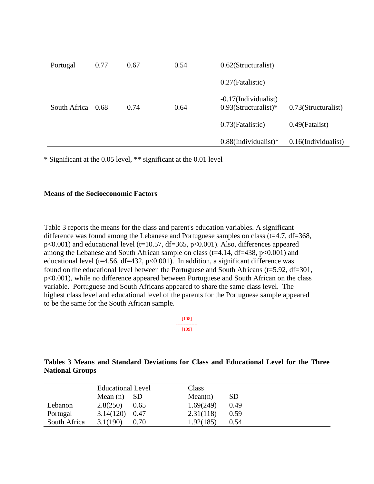| Portugal     | 0.77 | 0.67 | 0.54 | $0.62$ (Structuralist)                          |                        |
|--------------|------|------|------|-------------------------------------------------|------------------------|
|              |      |      |      | 0.27(Fatalistic)                                |                        |
| South Africa | 0.68 | 0.74 | 0.64 | -0.17(Individualist)<br>$0.93$ (Structuralist)* | 0.73(Structuralist)    |
|              |      |      |      | 0.73(Fatalistic)                                | $0.49$ (Fatalist)      |
|              |      |      |      | $0.88$ (Individualist)*                         | $0.16$ (Individualist) |

\* Significant at the 0.05 level, \*\* significant at the 0.01 level

## **Means of the Socioeconomic Factors**

Table 3 reports the means for the class and parent's education variables. A significant difference was found among the Lebanese and Portuguese samples on class (t=4.7, df=368,  $p<0.001$ ) and educational level (t=10.57, df=365,  $p<0.001$ ). Also, differences appeared among the Lebanese and South African sample on class ( $t=4.14$ ,  $df=438$ ,  $p<0.001$ ) and educational level ( $t=4.56$ ,  $df=432$ ,  $p<0.001$ ). In addition, a significant difference was found on the educational level between the Portuguese and South Africans (t=5.92, df=301, p<0.001), while no difference appeared between Portuguese and South African on the class variable. Portuguese and South Africans appeared to share the same class level. The highest class level and educational level of the parents for the Portuguese sample appeared to be the same for the South African sample.

> [108] -------------- [109]

## **Tables 3 Means and Standard Deviations for Class and Educational Level for the Three National Groups**

|              | <b>Educational Level</b> |                 | Class     |           |
|--------------|--------------------------|-----------------|-----------|-----------|
|              | Mean $(n)$               | SD <sub>1</sub> | Mean(n)   | <b>SD</b> |
| Lebanon      | 2.8(250)                 | 0.65            | 1.69(249) | 0.49      |
| Portugal     | 3.14(120)                | 0.47            | 2.31(118) | 0.59      |
| South Africa | 3.1(190)                 | 0.70            | 1.92(185) | 0.54      |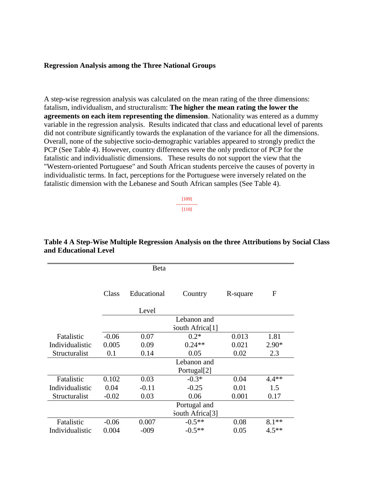## **Regression Analysis among the Three National Groups**

A step-wise regression analysis was calculated on the mean rating of the three dimensions: fatalism, individualism, and structuralism: **The higher the mean rating the lower the agreements on each item representing the dimension**. Nationality was entered as a dummy variable in the regression analysis. Results indicated that class and educational level of parents did not contribute significantly towards the explanation of the variance for all the dimensions. Overall, none of the subjective socio-demographic variables appeared to strongly predict the PCP (See Table 4). However, country differences were the only predictor of PCP for the fatalistic and individualistic dimensions. These results do not support the view that the "Western-oriented Portuguese" and South African students perceive the causes of poverty in individualistic terms. In fact, perceptions for the Portuguese were inversely related on the fatalistic dimension with the Lebanese and South African samples (See Table 4).

> [109] -------------- [110]

|                 |         | Beta        |                             |          |         |
|-----------------|---------|-------------|-----------------------------|----------|---------|
|                 |         |             |                             |          |         |
|                 | Class   | Educational | Country                     | R-square | F       |
|                 |         | Level       |                             |          |         |
|                 |         |             | Lebanon and                 |          |         |
|                 |         |             | South Africa <sup>[1]</sup> |          |         |
| Fatalistic      | $-0.06$ | 0.07        | $0.2*$                      | 0.013    | 1.81    |
| Individualistic | 0.005   | 0.09        | $0.24**$                    | 0.021    | $2.90*$ |
| Structuralist   | 0.1     | 0.14        | 0.05                        | 0.02     | 2.3     |
|                 |         |             | Lebanon and                 |          |         |
|                 |         |             | Portugal[2]                 |          |         |
| Fatalistic      | 0.102   | 0.03        | $-0.3*$                     | 0.04     | $4.4**$ |
| Individualistic | 0.04    | $-0.11$     | $-0.25$                     | 0.01     | 1.5     |
| Structuralist   | $-0.02$ | 0.03        | 0.06                        | 0.001    | 0.17    |
|                 |         |             | Portugal and                |          |         |
|                 |         |             | South Africa <sup>[3]</sup> |          |         |
| Fatalistic      | $-0.06$ | 0.007       | $-0.5**$                    | 0.08     | $8.1**$ |
| Individualistic | 0.004   | $-009$      | $-0.5**$                    | 0.05     | $4.5**$ |

## **Table 4 A Step-Wise Multiple Regression Analysis on the three Attributions by Social Class and Educational Level**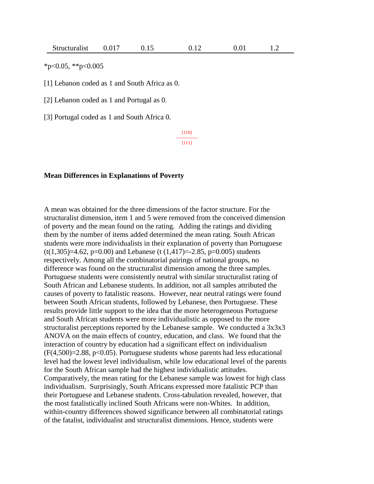$*_{p<0.05}$ ,  $*_{p<0.005}$ 

[1] Lebanon coded as 1 and South Africa as 0.

[2] Lebanon coded as 1 and Portugal as 0.

[3] Portugal coded as 1 and South Africa 0.

[110] -------------- [111]

## **Mean Differences in Explanations of Poverty**

A mean was obtained for the three dimensions of the factor structure. For the structuralist dimension, item 1 and 5 were removed from the conceived dimension of poverty and the mean found on the rating. Adding the ratings and dividing them by the number of items added determined the mean rating. South African students were more individualists in their explanation of poverty than Portuguese  $(t(1,305)=4.62, p=0.00)$  and Lebanese  $(t(1,417)=2.85, p=0.005)$  students respectively. Among all the combinatorial pairings of national groups, no difference was found on the structuralist dimension among the three samples. Portuguese students were consistently neutral with similar structuralist rating of South African and Lebanese students. In addition, not all samples attributed the causes of poverty to fatalistic reasons. However, near neutral ratings were found between South African students, followed by Lebanese, then Portuguese. These results provide little support to the idea that the more heterogeneous Portuguese and South African students were more individualistic as opposed to the more structuralist perceptions reported by the Lebanese sample. We conducted a  $3x3x3$ ANOVA on the main effects of country, education, and class. We found that the interaction of country by education had a significant effect on individualism  $(F(4,500)=2.88, p<0.05)$ . Portuguese students whose parents had less educational level had the lowest level individualism, while low educational level of the parents for the South African sample had the highest individualistic attitudes. Comparatively, the mean rating for the Lebanese sample was lowest for high class individualism. Surprisingly, South Africans expressed more fatalistic PCP than their Portuguese and Lebanese students. Cross-tabulation revealed, however, that the most fatalistically inclined South Africans were non-Whites. In addition, within-country differences showed significance between all combinatorial ratings of the fatalist, individualist and structuralist dimensions. Hence, students were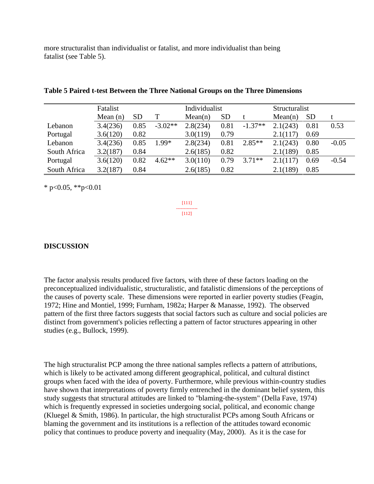more structuralist than individualist or fatalist, and more individualist than being fatalist (see Table 5).

|              | Fatalist   |           |           | Individualist |                 |           | Structuralist |           |         |  |
|--------------|------------|-----------|-----------|---------------|-----------------|-----------|---------------|-----------|---------|--|
|              | Mean $(n)$ | <b>SD</b> |           | Mean(n)       | SD <sub>1</sub> |           | Mean(n)       | <b>SD</b> |         |  |
| Lebanon      | 3.4(236)   | 0.85      | $-3.02**$ | 2.8(234)      | 0.81            | $-1.37**$ | 2.1(243)      | 0.81      | 0.53    |  |
| Portugal     | 3.6(120)   | 0.82      |           | 3.0(119)      | 0.79            |           | 2.1(117)      | 0.69      |         |  |
| Lebanon      | 3.4(236)   | 0.85      | $1.99*$   | 2.8(234)      | 0.81            | $2.85**$  | 2.1(243)      | 0.80      | $-0.05$ |  |
| South Africa | 3.2(187)   | 0.84      |           | 2.6(185)      | 0.82            |           | 2.1(189)      | 0.85      |         |  |
| Portugal     | 3.6(120)   | 0.82      | $4.62**$  | 3.0(110)      | 0.79            | $3.71**$  | 2.1(117)      | 0.69      | $-0.54$ |  |
| South Africa | 3.2(187)   | 0.84      |           | 2.6(185)      | 0.82            |           | 2.1(189)      | 0.85      |         |  |

|  | Table 5 Paired t-test Between the Three National Groups on the Three Dimensions |  |  |  |  |  |
|--|---------------------------------------------------------------------------------|--|--|--|--|--|
|  |                                                                                 |  |  |  |  |  |

 $*$  p<0.05,  $*$  $*$ p<0.01

[111] -------------- [112]

## **DISCUSSION**

The factor analysis results produced five factors, with three of these factors loading on the preconceptualized individualistic, structuralistic, and fatalistic dimensions of the perceptions of the causes of poverty scale. These dimensions were reported in earlier poverty studies (Feagin, 1972; Hine and Montiel, 1999; Furnham, 1982a; Harper & Manasse, 1992). The observed pattern of the first three factors suggests that social factors such as culture and social policies are distinct from government's policies reflecting a pattern of factor structures appearing in other studies (e.g., Bullock, 1999).

The high structuralist PCP among the three national samples reflects a pattern of attributions, which is likely to be activated among different geographical, political, and cultural distinct groups when faced with the idea of poverty. Furthermore, while previous within-country studies have shown that interpretations of poverty firmly entrenched in the dominant belief system, this study suggests that structural attitudes are linked to "blaming-the-system" (Della Fave, 1974) which is frequently expressed in societies undergoing social, political, and economic change (Kluegel & Smith, 1986). In particular, the high structuralist PCPs among South Africans or blaming the government and its institutions is a reflection of the attitudes toward economic policy that continues to produce poverty and inequality (May, 2000). As it is the case for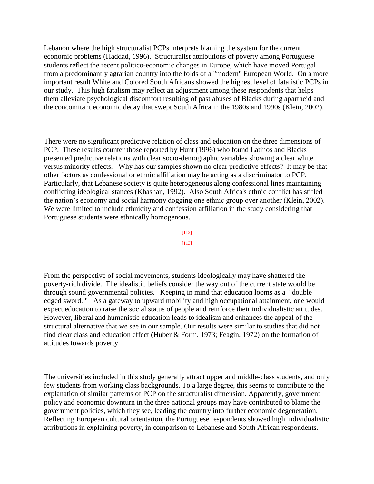Lebanon where the high structuralist PCPs interprets blaming the system for the current economic problems (Haddad, 1996). Structuralist attributions of poverty among Portuguese students reflect the recent politico-economic changes in Europe, which have moved Portugal from a predominantly agrarian country into the folds of a "modern" European World. On a more important result White and Colored South Africans showed the highest level of fatalistic PCPs in our study. This high fatalism may reflect an adjustment among these respondents that helps them alleviate psychological discomfort resulting of past abuses of Blacks during apartheid and the concomitant economic decay that swept South Africa in the 1980s and 1990s (Klein, 2002).

There were no significant predictive relation of class and education on the three dimensions of PCP. These results counter those reported by Hunt (1996) who found Latinos and Blacks presented predictive relations with clear socio-demographic variables showing a clear white versus minority effects. Why has our samples shown no clear predictive effects? It may be that other factors as confessional or ethnic affiliation may be acting as a discriminator to PCP. Particularly, that Lebanese society is quite heterogeneous along confessional lines maintaining conflicting ideological stances (Khashan, 1992). Also South Africa's ethnic conflict has stifled the nation's economy and social harmony dogging one ethnic group over another (Klein, 2002). We were limited to include ethnicity and confession affiliation in the study considering that Portuguese students were ethnically homogenous.

> [112] -------------- [113]

From the perspective of social movements, students ideologically may have shattered the poverty-rich divide. The idealistic beliefs consider the way out of the current state would be through sound governmental policies. Keeping in mind that education looms as a "double edged sword. " As a gateway to upward mobility and high occupational attainment, one would expect education to raise the social status of people and reinforce their individualistic attitudes. However, liberal and humanistic education leads to idealism and enhances the appeal of the structural alternative that we see in our sample. Our results were similar to studies that did not find clear class and education effect (Huber & Form, 1973; Feagin, 1972) on the formation of attitudes towards poverty.

The universities included in this study generally attract upper and middle-class students, and only few students from working class backgrounds. To a large degree, this seems to contribute to the explanation of similar patterns of PCP on the structuralist dimension. Apparently, government policy and economic downturn in the three national groups may have contributed to blame the government policies, which they see, leading the country into further economic degeneration. Reflecting European cultural orientation, the Portuguese respondents showed high individualistic attributions in explaining poverty, in comparison to Lebanese and South African respondents.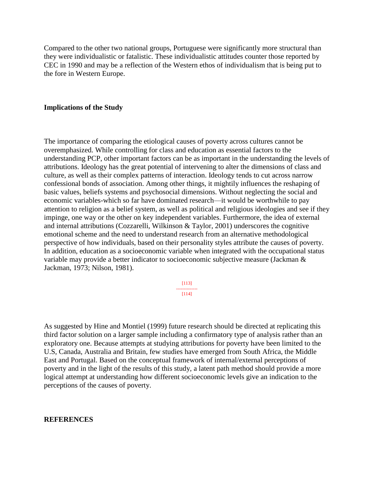Compared to the other two national groups, Portuguese were significantly more structural than they were individualistic or fatalistic. These individualistic attitudes counter those reported by CEC in 1990 and may be a reflection of the Western ethos of individualism that is being put to the fore in Western Europe.

### **Implications of the Study**

The importance of comparing the etiological causes of poverty across cultures cannot be overemphasized. While controlling for class and education as essential factors to the understanding PCP, other important factors can be as important in the understanding the levels of attributions. Ideology has the great potential of intervening to alter the dimensions of class and culture, as well as their complex patterns of interaction. Ideology tends to cut across narrow confessional bonds of association. Among other things, it mightily influences the reshaping of basic values, beliefs systems and psychosocial dimensions. Without neglecting the social and economic variables-which so far have dominated research—it would be worthwhile to pay attention to religion as a belief system, as well as political and religious ideologies and see if they impinge, one way or the other on key independent variables. Furthermore, the idea of external and internal attributions (Cozzarelli, Wilkinson & Taylor, 2001) underscores the cognitive emotional scheme and the need to understand research from an alternative methodological perspective of how individuals, based on their personality styles attribute the causes of poverty. In addition, education as a socioeconomic variable when integrated with the occupational status variable may provide a better indicator to socioeconomic subjective measure (Jackman & Jackman, 1973; Nilson, 1981).

> [113] -------------- [114]

As suggested by Hine and Montiel (1999) future research should be directed at replicating this third factor solution on a larger sample including a confirmatory type of analysis rather than an exploratory one. Because attempts at studying attributions for poverty have been limited to the U.S, Canada, Australia and Britain, few studies have emerged from South Africa, the Middle East and Portugal. Based on the conceptual framework of internal/external perceptions of poverty and in the light of the results of this study, a latent path method should provide a more logical attempt at understanding how different socioeconomic levels give an indication to the perceptions of the causes of poverty.

#### **REFERENCES**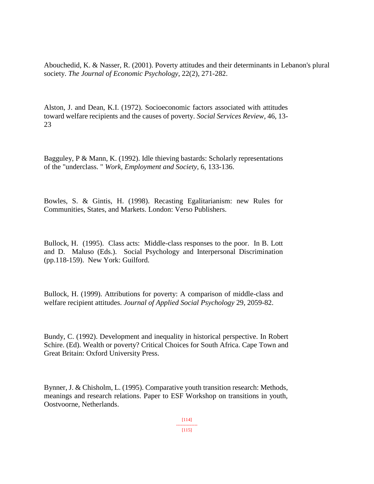Abouchedid, K. & Nasser, R. (2001). Poverty attitudes and their determinants in Lebanon's plural society. *The Journal of Economic Psychology*, 22(2), 271-282.

Alston, J. and Dean, K.I. (1972). Socioeconomic factors associated with attitudes toward welfare recipients and the causes of poverty. *Social Services Review*, 46, 13- 23

Bagguley, P & Mann, K. (1992). Idle thieving bastards: Scholarly representations of the "underclass. " *Work, Employment and Society,* 6, 133-136.

Bowles, S. & Gintis, H. (1998). Recasting Egalitarianism: new Rules for Communities, States, and Markets. London: Verso Publishers.

Bullock, H. (1995). Class acts: Middle-class responses to the poor. In B. Lott and D. Maluso (Eds.). Social Psychology and Interpersonal Discrimination (pp.118-159). New York: Guilford.

Bullock, H. (1999). Attributions for poverty: A comparison of middle-class and welfare recipient attitudes. *Journal of Applied Social Psychology* 29, 2059-82.

Bundy, C. (1992). Development and inequality in historical perspective. In Robert Schire. (Ed). Wealth or poverty? Critical Choices for South Africa. Cape Town and Great Britain: Oxford University Press.

Bynner, J. & Chisholm, L. (1995). Comparative youth transition research: Methods, meanings and research relations. Paper to ESF Workshop on transitions in youth, Oostvoorne, Netherlands.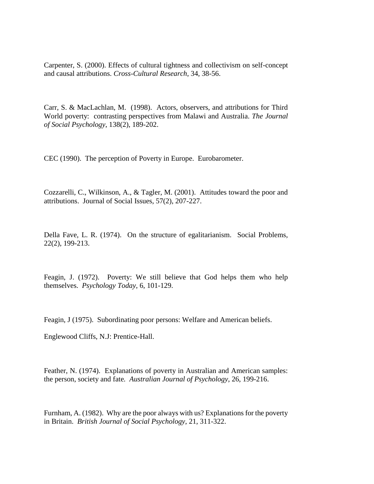Carpenter, S. (2000). Effects of cultural tightness and collectivism on self-concept and causal attributions. *Cross-Cultural Research*, 34, 38-56.

Carr, S. & MacLachlan, M. (1998). Actors, observers, and attributions for Third World poverty: contrasting perspectives from Malawi and Australia. *The Journal of Social Psychology*, 138(2), 189-202.

CEC (1990). The perception of Poverty in Europe. Eurobarometer.

Cozzarelli, C., Wilkinson, A., & Tagler, M. (2001). Attitudes toward the poor and attributions. Journal of Social Issues, 57(2), 207-227.

Della Fave, L. R. (1974). On the structure of egalitarianism. Social Problems, 22(2), 199-213.

Feagin, J. (1972). Poverty: We still believe that God helps them who help themselves. *Psychology Today*, 6, 101-129.

Feagin, J (1975). Subordinating poor persons: Welfare and American beliefs.

Englewood Cliffs, N.J: Prentice-Hall.

Feather, N. (1974). Explanations of poverty in Australian and American samples: the person, society and fate*. Australian Journal of Psychology*, 26, 199-216.

Furnham, A. (1982). Why are the poor always with us? Explanations for the poverty in Britain. *British Journal of Social Psychology*, 21, 311-322.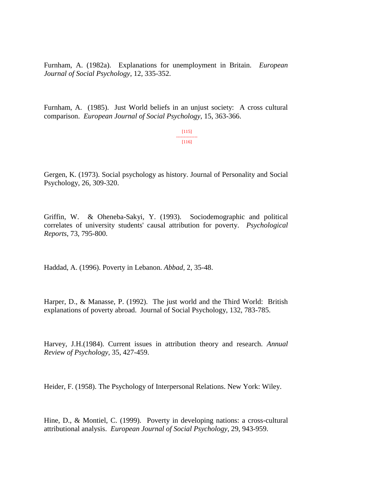Furnham, A. (1982a). Explanations for unemployment in Britain. *European Journal of Social Psychology*, 12, 335-352.

Furnham, A. (1985). Just World beliefs in an unjust society: A cross cultural comparison. *European Journal of Social Psychology*, 15, 363-366.

> [115] -------------- [116]

Gergen, K. (1973). Social psychology as history. Journal of Personality and Social Psychology, 26, 309-320.

Griffin, W. & Oheneba-Sakyi, Y. (1993). Sociodemographic and political correlates of university students' causal attribution for poverty. *Psychological Reports*, 73, 795-800.

Haddad, A. (1996). Poverty in Lebanon. *Abbad*, 2, 35-48.

Harper, D., & Manasse, P. (1992). The just world and the Third World: British explanations of poverty abroad. Journal of Social Psychology, 132, 783-785.

Harvey, J.H.(1984). Current issues in attribution theory and research. *Annual Review of Psychology,* 35, 427-459.

Heider, F. (1958). The Psychology of Interpersonal Relations. New York: Wiley.

Hine, D., & Montiel, C. (1999). Poverty in developing nations: a cross-cultural attributional analysis. *European Journal of Social Psychology*, 29, 943-959.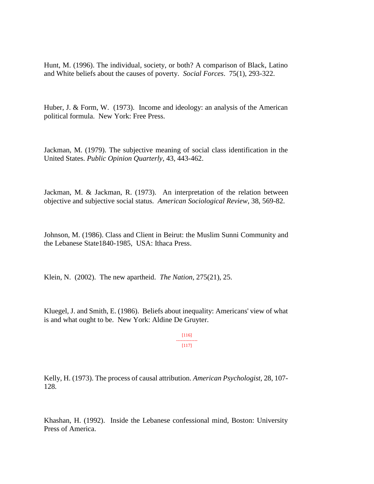Hunt, M. (1996). The individual, society, or both? A comparison of Black, Latino and White beliefs about the causes of poverty. *Social Forces*. 75(1), 293-322.

Huber, J. & Form, W. (1973). Income and ideology: an analysis of the American political formula. New York: Free Press.

Jackman, M. (1979). The subjective meaning of social class identification in the United States. *Public Opinion Quarterly*, 43, 443-462.

Jackman, M. & Jackman, R. (1973). An interpretation of the relation between objective and subjective social status. *American Sociological Review*, 38, 569-82.

Johnson, M. (1986). Class and Client in Beirut: the Muslim Sunni Community and the Lebanese State1840-1985, USA: Ithaca Press.

Klein, N. (2002). The new apartheid. *The Nation*, 275(21), 25.

Kluegel, J. and Smith, E. (1986). Beliefs about inequality: Americans' view of what is and what ought to be. New York: Aldine De Gruyter.

> [116] -------------- [117]

Kelly, H. (1973). The process of causal attribution. *American Psychologist,* 28, 107- 128*.*

Khashan, H. (1992). Inside the Lebanese confessional mind, Boston: University Press of America.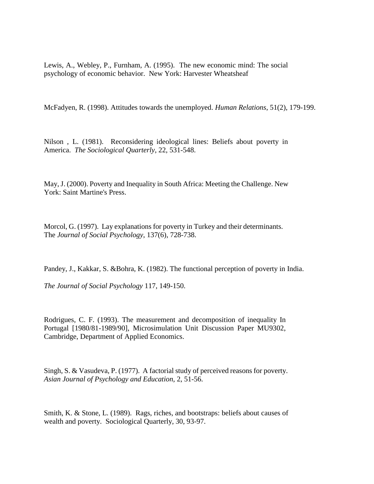Lewis, A., Webley, P., Furnham, A. (1995). The new economic mind: The social psychology of economic behavior. New York: Harvester Wheatsheaf

McFadyen, R. (1998). Attitudes towards the unemployed. *Human Relations*, 51(2), 179-199.

Nilson , L. (1981). Reconsidering ideological lines: Beliefs about poverty in America. *The Sociological Quarterly*, 22, 531-548.

May, J. (2000). Poverty and Inequality in South Africa: Meeting the Challenge. New York: Saint Martine's Press.

Morcol, G. (1997). Lay explanations for poverty in Turkey and their determinants. The *Journal of Social Psychology*, 137(6), 728-738.

Pandey, J., Kakkar, S. &Bohra, K. (1982). The functional perception of poverty in India.

*The Journal of Social Psychology* 117, 149-150.

Rodrigues, C. F. (1993). The measurement and decomposition of inequality In Portugal [1980/81-1989/90], Microsimulation Unit Discussion Paper MU9302, Cambridge, Department of Applied Economics.

Singh, S. & Vasudeva, P. (1977). A factorial study of perceived reasons for poverty. *Asian Journal of Psychology and Education*, 2, 51-56.

Smith, K. & Stone, L. (1989). Rags, riches, and bootstraps: beliefs about causes of wealth and poverty. Sociological Quarterly, 30, 93-97.